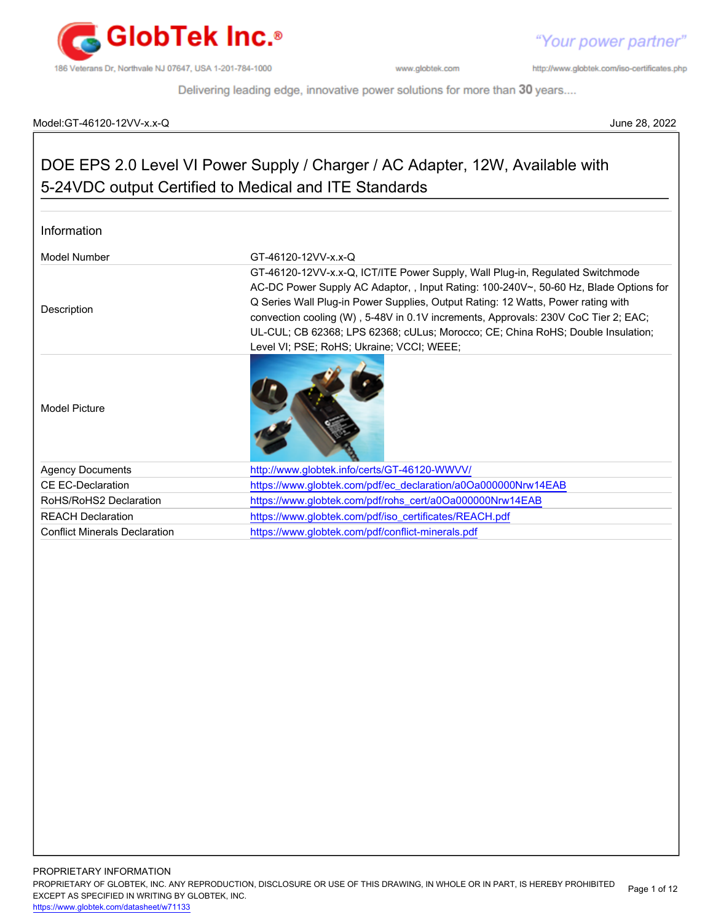

http://www.globtek.com/iso-certificates.php

Delivering leading edge, innovative power solutions for more than 30 years....

#### Model:GT-46120-12VV-x.x-Q June 28, 2022

# DOE EPS 2.0 Level VI Power Supply / Charger / AC Adapter, 12W, Available with 5-24VDC output Certified to Medical and ITE Standards

#### Information

| Model Number                         | GT-46120-12VV-x.x-Q                                                                                                                                                                                                                                                                                                                                                                                                                                                             |  |
|--------------------------------------|---------------------------------------------------------------------------------------------------------------------------------------------------------------------------------------------------------------------------------------------------------------------------------------------------------------------------------------------------------------------------------------------------------------------------------------------------------------------------------|--|
| Description                          | GT-46120-12VV-x.x-Q, ICT/ITE Power Supply, Wall Plug-in, Regulated Switchmode<br>AC-DC Power Supply AC Adaptor,, Input Rating: 100-240V~, 50-60 Hz, Blade Options for<br>Q Series Wall Plug-in Power Supplies, Output Rating: 12 Watts, Power rating with<br>convection cooling (W), 5-48V in 0.1V increments, Approvals: 230V CoC Tier 2; EAC;<br>UL-CUL; CB 62368; LPS 62368; cULus; Morocco; CE; China RoHS; Double Insulation;<br>Level VI; PSE; RoHS; Ukraine; VCCI; WEEE; |  |
| Model Picture                        |                                                                                                                                                                                                                                                                                                                                                                                                                                                                                 |  |
| <b>Agency Documents</b>              | http://www.globtek.info/certs/GT-46120-WWVV/                                                                                                                                                                                                                                                                                                                                                                                                                                    |  |
| CE EC-Declaration                    | https://www.globtek.com/pdf/ec_declaration/a0Oa000000Nrw14EAB                                                                                                                                                                                                                                                                                                                                                                                                                   |  |
| RoHS/RoHS2 Declaration               | https://www.globtek.com/pdf/rohs_cert/a0Oa000000Nrw14EAB                                                                                                                                                                                                                                                                                                                                                                                                                        |  |
| <b>REACH Declaration</b>             | https://www.globtek.com/pdf/iso_certificates/REACH.pdf                                                                                                                                                                                                                                                                                                                                                                                                                          |  |
| <b>Conflict Minerals Declaration</b> | https://www.globtek.com/pdf/conflict-minerals.pdf                                                                                                                                                                                                                                                                                                                                                                                                                               |  |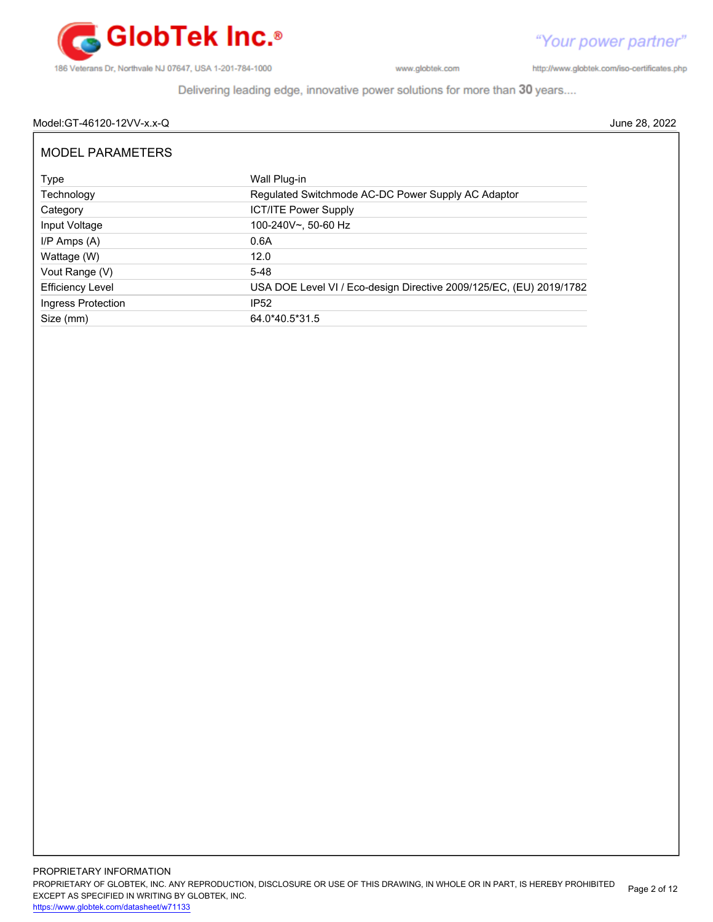

http://www.globtek.com/iso-certificates.php

Delivering leading edge, innovative power solutions for more than 30 years....

## Model:GT-46120-12VV-x.x-Q June 28, 2022

| <b>MODEL PARAMETERS</b> |                                                                     |  |  |  |
|-------------------------|---------------------------------------------------------------------|--|--|--|
| Type                    | Wall Plug-in                                                        |  |  |  |
| Technology              | Regulated Switchmode AC-DC Power Supply AC Adaptor                  |  |  |  |
| Category                | <b>ICT/ITE Power Supply</b>                                         |  |  |  |
| Input Voltage           | 100-240V~, 50-60 Hz                                                 |  |  |  |
| $I/P$ Amps $(A)$        | 0.6A                                                                |  |  |  |
| Wattage (W)             | 12.0                                                                |  |  |  |
| Vout Range (V)          | $5-48$                                                              |  |  |  |
| <b>Efficiency Level</b> | USA DOE Level VI / Eco-design Directive 2009/125/EC, (EU) 2019/1782 |  |  |  |
| Ingress Protection      | <b>IP52</b>                                                         |  |  |  |
| Size (mm)               | 64.0*40.5*31.5                                                      |  |  |  |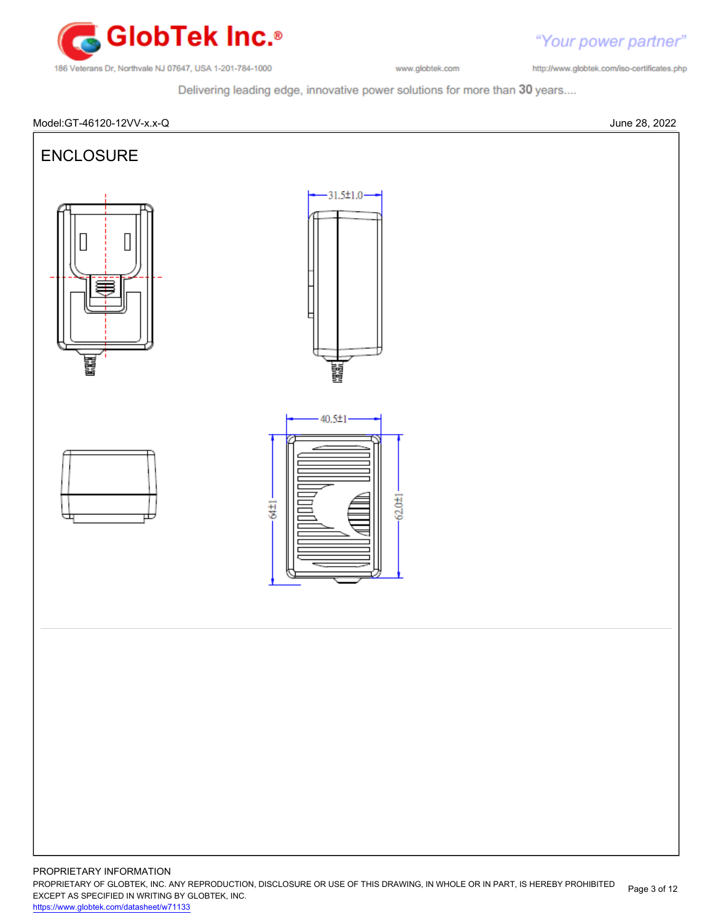

http://www.globtek.com/iso-certificates.php

"Your power partner"

Delivering leading edge, innovative power solutions for more than 30 years....

# Model:GT-46120-12VV-x.x-Q June 28, 2022



PROPRIETARY OF GLOBTEK, INC. ANY REPRODUCTION, DISCLOSURE OR USE OF THIS DRAWING, IN WHOLE OR IN PART, IS HEREBY PROHIBITED EXCEPT AS SPECIFIED IN WRITING BY GLOBTEK, INC. Page 3 of 12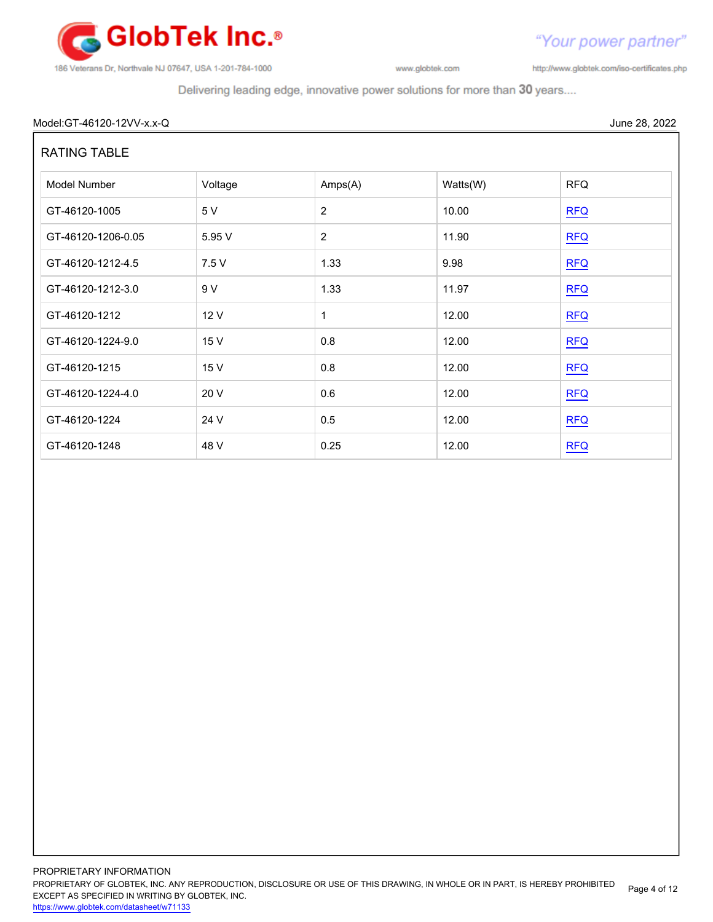

http://www.globtek.com/iso-certificates.php

"Your power partner"

Delivering leading edge, innovative power solutions for more than 30 years....

## Model:GT-46120-12VV-x.x-Q June 28, 2022

# RATING TABLE

| Model Number       | Voltage | Amps(A)        | Watts(W) | <b>RFQ</b> |
|--------------------|---------|----------------|----------|------------|
| GT-46120-1005      | 5 V     | $\overline{2}$ | 10.00    | REQ        |
| GT-46120-1206-0.05 | 5.95 V  | $\overline{2}$ | 11.90    | RFA        |
| GT-46120-1212-4.5  | 7.5 V   | 1.33           | 9.98     | RFA        |
| GT-46120-1212-3.0  | 9 V     | 1.33           | 11.97    | REQ        |
| GT-46120-1212      | 12 V    | 1              | 12.00    | <b>RFQ</b> |
| GT-46120-1224-9.0  | 15 V    | 0.8            | 12.00    | <b>RFQ</b> |
| GT-46120-1215      | 15 V    | 0.8            | 12.00    | REQ        |
| GT-46120-1224-4.0  | 20 V    | 0.6            | 12.00    | <b>RFQ</b> |
| GT-46120-1224      | 24 V    | 0.5            | 12.00    | <b>RFQ</b> |
| GT-46120-1248      | 48 V    | 0.25           | 12.00    | <b>RFQ</b> |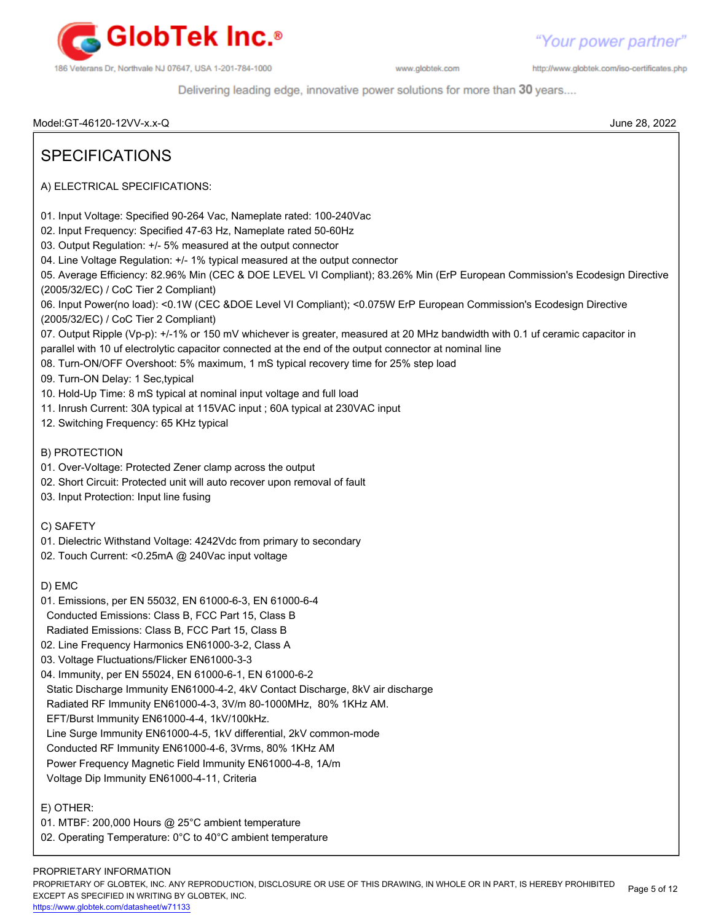

http://www.globtek.com/iso-certificates.php

Delivering leading edge, innovative power solutions for more than 30 years....

Model:GT-46120-12VV-x.x-Q June 28, 2022 SPECIFICATIONS A) ELECTRICAL SPECIFICATIONS: 01. Input Voltage: Specified 90-264 Vac, Nameplate rated: 100-240Vac 02. Input Frequency: Specified 47-63 Hz, Nameplate rated 50-60Hz 03. Output Regulation: +/- 5% measured at the output connector 04. Line Voltage Regulation: +/- 1% typical measured at the output connector 05. Average Efficiency: 82.96% Min (CEC & DOE LEVEL VI Compliant); 83.26% Min (ErP European Commission's Ecodesign Directive (2005/32/EC) / CoC Tier 2 Compliant) 06. Input Power(no load): <0.1W (CEC &DOE Level VI Compliant); <0.075W ErP European Commission's Ecodesign Directive (2005/32/EC) / CoC Tier 2 Compliant) 07. Output Ripple (Vp-p): +/-1% or 150 mV whichever is greater, measured at 20 MHz bandwidth with 0.1 uf ceramic capacitor in parallel with 10 uf electrolytic capacitor connected at the end of the output connector at nominal line 08. Turn-ON/OFF Overshoot: 5% maximum, 1 mS typical recovery time for 25% step load 09. Turn-ON Delay: 1 Sec,typical 10. Hold-Up Time: 8 mS typical at nominal input voltage and full load 11. Inrush Current: 30A typical at 115VAC input ; 60A typical at 230VAC input 12. Switching Frequency: 65 KHz typical B) PROTECTION 01. Over-Voltage: Protected Zener clamp across the output 02. Short Circuit: Protected unit will auto recover upon removal of fault 03. Input Protection: Input line fusing C) SAFETY 01. Dielectric Withstand Voltage: 4242Vdc from primary to secondary 02. Touch Current: <0.25mA @ 240Vac input voltage D) EMC 01. Emissions, per EN 55032, EN 61000-6-3, EN 61000-6-4 Conducted Emissions: Class B, FCC Part 15, Class B Radiated Emissions: Class B, FCC Part 15, Class B 02. Line Frequency Harmonics EN61000-3-2, Class A 03. Voltage Fluctuations/Flicker EN61000-3-3 04. Immunity, per EN 55024, EN 61000-6-1, EN 61000-6-2 Static Discharge Immunity EN61000-4-2, 4kV Contact Discharge, 8kV air discharge Radiated RF Immunity EN61000-4-3, 3V/m 80-1000MHz, 80% 1KHz AM. EFT/Burst Immunity EN61000-4-4, 1kV/100kHz. Line Surge Immunity EN61000-4-5, 1kV differential, 2kV common-mode Conducted RF Immunity EN61000-4-6, 3Vrms, 80% 1KHz AM Power Frequency Magnetic Field Immunity EN61000-4-8, 1A/m Voltage Dip Immunity EN61000-4-11, Criteria E) OTHER: 01. MTBF: 200,000 Hours @ 25°C ambient temperature 02. Operating Temperature: 0°C to 40°C ambient temperature

#### PROPRIETARY INFORMATION

PROPRIETARY OF GLOBTEK, INC. ANY REPRODUCTION, DISCLOSURE OR USE OF THIS DRAWING, IN WHOLE OR IN PART, IS HEREBY PROHIBITED EXCEPT AS SPECIFIED IN WRITING BY GLOBTEK, INC. Page 5 of 12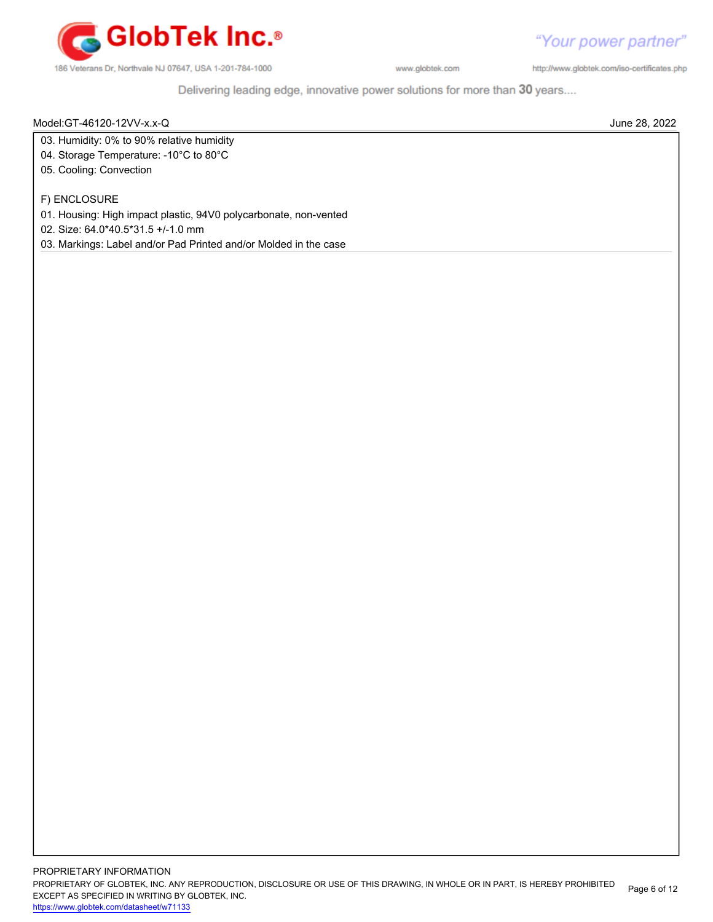

http://www.globtek.com/iso-certificates.php

Delivering leading edge, innovative power solutions for more than 30 years....

Model:GT-46120-12VV-x.x-Q June 28, 2022

03. Humidity: 0% to 90% relative humidity

- 04. Storage Temperature: -10°C to 80°C
- 05. Cooling: Convection

F) ENCLOSURE

01. Housing: High impact plastic, 94V0 polycarbonate, non-vented

02. Size: 64.0\*40.5\*31.5 +/-1.0 mm

03. Markings: Label and/or Pad Printed and/or Molded in the case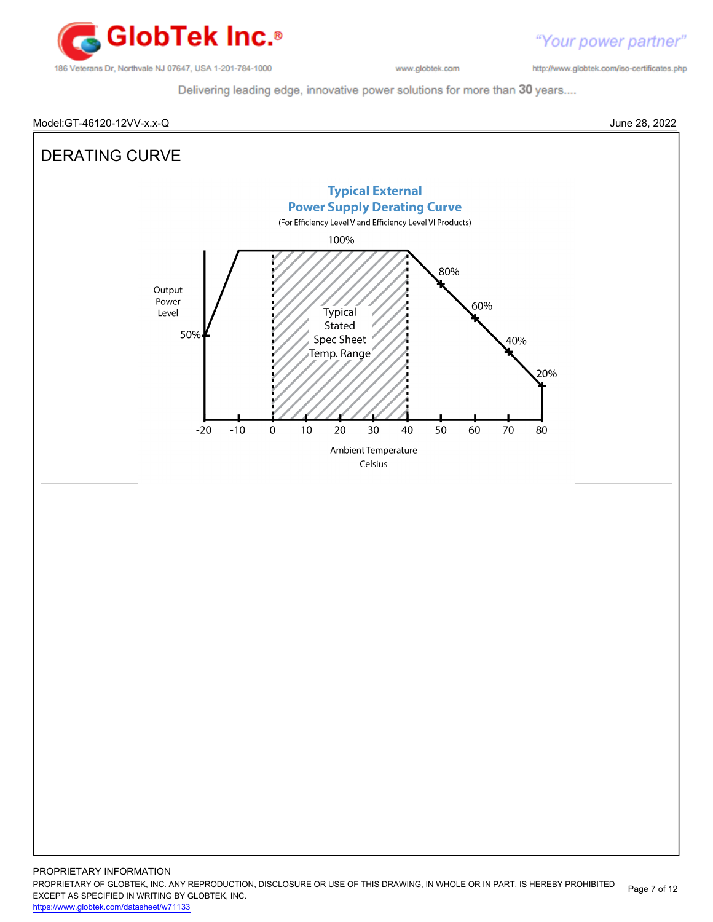

http://www.globtek.com/iso-certificates.php

Delivering leading edge, innovative power solutions for more than 30 years....

#### Model:GT-46120-12VV-x.x-Q June 28, 2022

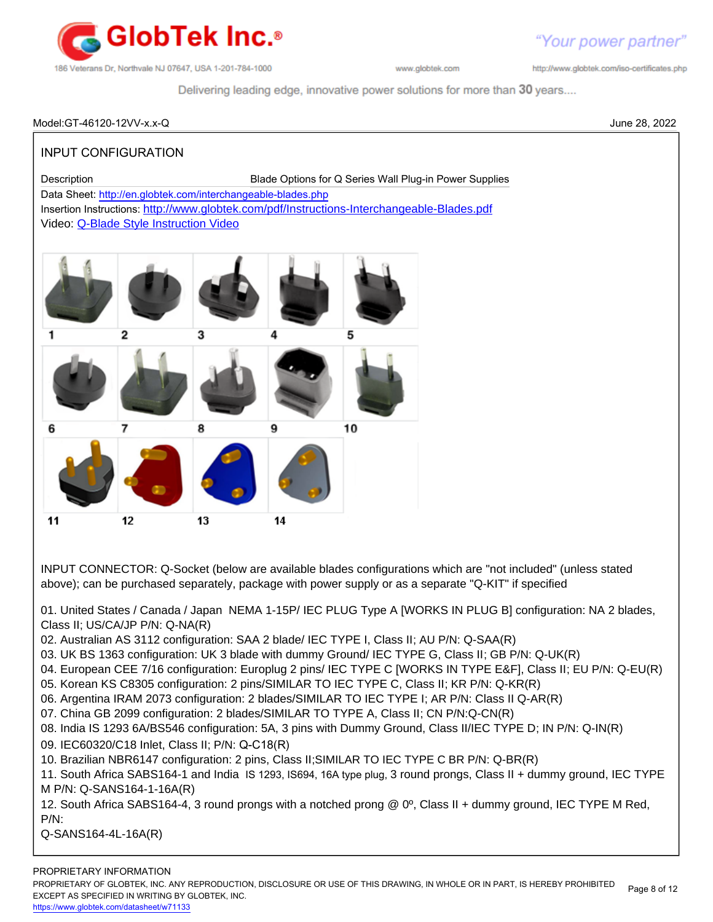

http://www.globtek.com/iso-certificates.php

Delivering leading edge, innovative power solutions for more than 30 years....

# Model:GT-46120-12VV-x.x-Q June 28, 2022 INPUT CONFIGURATION Description Blade Options for Q Series Wall Plug-in Power Supplies Data Sheet:<http://en.globtek.com/interchangeable-blades.php> Insertion Instructions: <http://www.globtek.com/pdf/Instructions-Interchangeable-Blades.pdf> Video: [Q-Blade Style Instruction Video](https://www.youtube.com/watch?v=t8KfppaP5_s&feature=youtu.be) 6 g  $10$

 $12$ 13

11

INPUT CONNECTOR: Q-Socket (below are available blades configurations which are "not included" (unless stated above); can be purchased separately, package with power supply or as a separate "Q-KIT" if specified

01. United States / Canada / Japan NEMA 1-15P/ IEC PLUG Type A [WORKS IN PLUG B] configuration: NA 2 blades, Class II; US/CA/JP P/N: Q-NA(R)

02. Australian AS 3112 configuration: SAA 2 blade/ IEC TYPE I, Class II; AU P/N: Q-SAA(R)

14

- 03. UK BS 1363 configuration: UK 3 blade with dummy Ground/ IEC TYPE G, Class II; GB P/N: Q-UK(R)
- 04. European CEE 7/16 configuration: Europlug 2 pins/ IEC TYPE C [WORKS IN TYPE E&F], Class II; EU P/N: Q-EU(R)
- 05. Korean KS C8305 configuration: 2 pins/SIMILAR TO IEC TYPE C, Class II; KR P/N: Q-KR(R)
- 06. Argentina IRAM 2073 configuration: 2 blades/SIMILAR TO IEC TYPE I; AR P/N: Class II Q-AR(R)
- 07. China GB 2099 configuration: 2 blades/SIMILAR TO TYPE A, Class II; CN P/N:Q-CN(R)
- 08. India IS 1293 6A/BS546 configuration: 5A, 3 pins with Dummy Ground, Class II/IEC TYPE D; IN P/N: Q-IN(R)
- 09. IEC60320/C18 Inlet, Class II; P/N: Q-C18(R)
- 10. Brazilian NBR6147 configuration: 2 pins, Class II;SIMILAR TO IEC TYPE C BR P/N: Q-BR(R)

11. South Africa SABS164-1 and India IS 1293, IS694, 16A type plug, 3 round prongs, Class II + dummy ground, IEC TYPE M P/N: Q-SANS164-1-16A(R)

12. South Africa SABS164-4, 3 round prongs with a notched prong @ 0º, Class II + dummy ground, IEC TYPE M Red, P/N:

Q-SANS164-4L-16A(R)

PROPRIETARY OF GLOBTEK, INC. ANY REPRODUCTION, DISCLOSURE OR USE OF THIS DRAWING, IN WHOLE OR IN PART, IS HEREBY PROHIBITED EXCEPT AS SPECIFIED IN WRITING BY GLOBTEK, INC. Page 8 of 12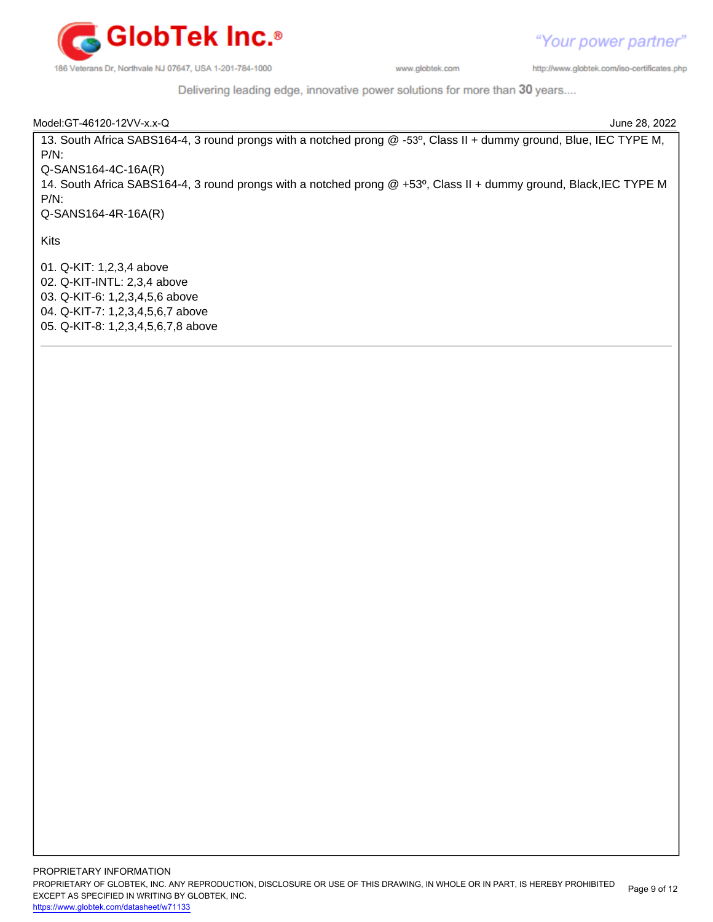

"Your power partner" http://www.globtek.com/iso-certificates.php

Delivering leading edge, innovative power solutions for more than 30 years....

| Model: GT-46120-12VV-x.x-Q                                                                                         | June 28, 2022 |
|--------------------------------------------------------------------------------------------------------------------|---------------|
| 13. South Africa SABS164-4, 3 round prongs with a notched prong @ -53°, Class II + dummy ground, Blue, IEC TYPE M, |               |
| $P/N$ :                                                                                                            |               |
| $Q-SANS164-4C-16A(R)$                                                                                              |               |
| 14. South Africa SABS164-4, 3 round prongs with a notched prong @ +53°, Class II + dummy ground, Black, IEC TYPE M |               |
| $P/N$ :                                                                                                            |               |
| $Q-SANS164-4R-16A(R)$                                                                                              |               |
|                                                                                                                    |               |
| Kits                                                                                                               |               |
| 01. Q-KIT: 1,2,3,4 above                                                                                           |               |
| 02. Q-KIT-INTL: 2,3,4 above                                                                                        |               |
| 03. Q-KIT-6: 1,2,3,4,5,6 above                                                                                     |               |
| 04. Q-KIT-7: 1,2,3,4,5,6,7 above                                                                                   |               |
| 05. Q-KIT-8: 1,2,3,4,5,6,7,8 above                                                                                 |               |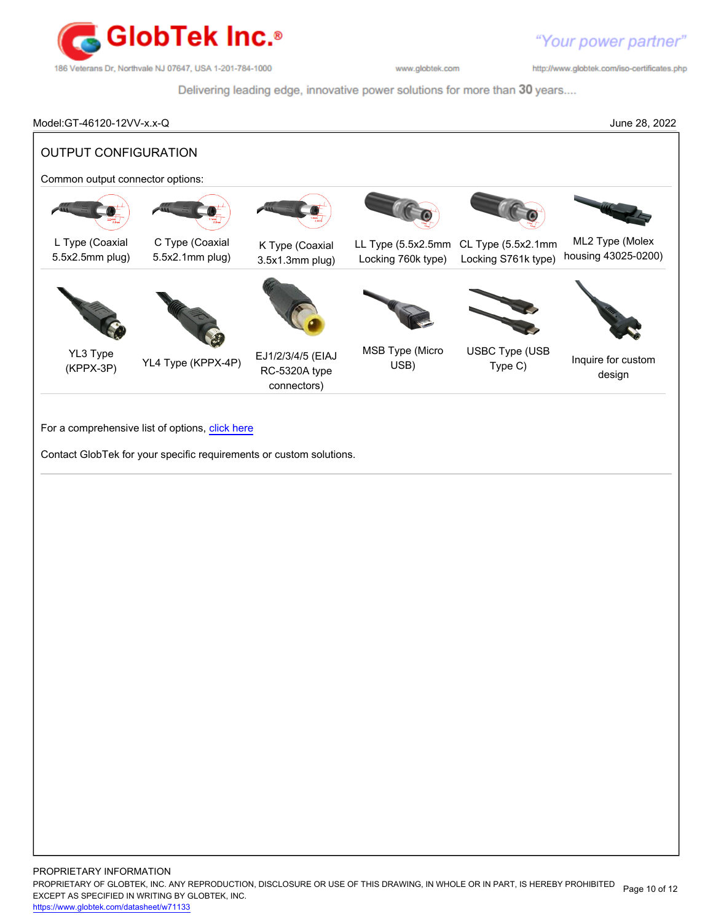

http://www.globtek.com/iso-certificates.php

Delivering leading edge, innovative power solutions for more than 30 years....

Model:GT-46120-12VV-x.x-Q June 28, 2022 OUTPUT CONFIGURATION Common output connector options: L Type (Coaxial 5.5x2.5mm plug) C Type (Coaxial 5.5x2.1mm plug) K Type (Coaxial 3.5x1.3mm plug) LL Type (5.5x2.5mm CL Type (5.5x2.1mm Locking 760k type) Locking S761k type) ML2 Type (Molex housing 43025-0200) YL3 Type (KPPX-3P) YL4 Type (KPPX-4P) EJ1/2/3/4/5 (EIAJ RC-5320A type connectors) MSB Type (Micro USB) USBC Type (USB Type (OOD Inquire for custom design

For a comprehensive list of options, [click here](https://en.globtek.com/globtek-output-cordsets/)

Contact GlobTek for your specific requirements or custom solutions.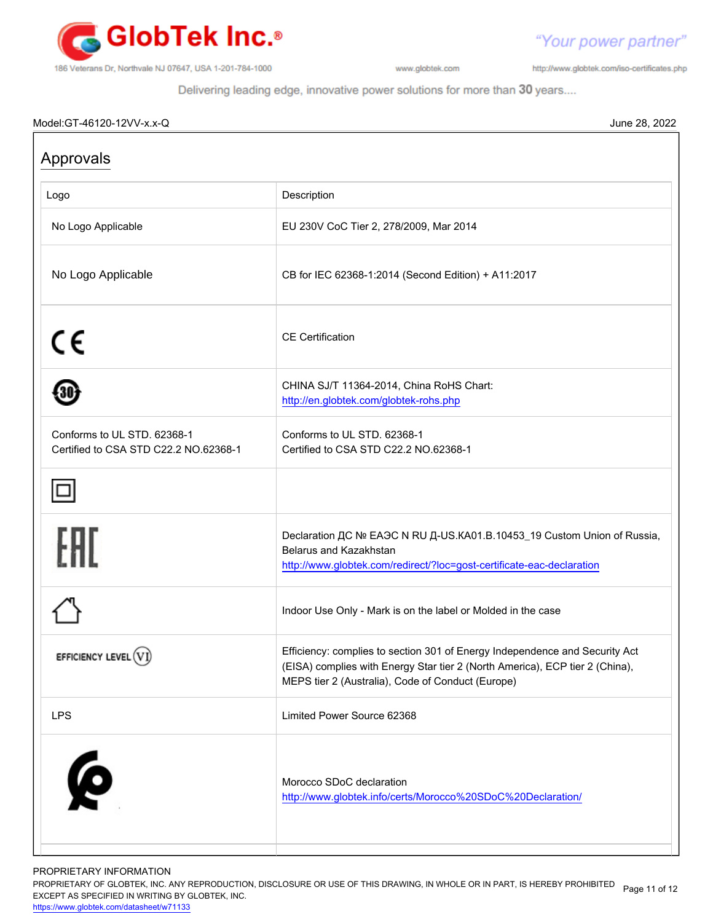

http://www.globtek.com/iso-certificates.php

"Your power partner"

Delivering leading edge, innovative power solutions for more than 30 years....

## Model:GT-46120-12VV-x.x-Q June 28, 2022

| Logo                                                                 | Description                                                                                                                                                                                                      |
|----------------------------------------------------------------------|------------------------------------------------------------------------------------------------------------------------------------------------------------------------------------------------------------------|
| No Logo Applicable                                                   | EU 230V CoC Tier 2, 278/2009, Mar 2014                                                                                                                                                                           |
| No Logo Applicable                                                   | CB for IEC 62368-1:2014 (Second Edition) + A11:2017                                                                                                                                                              |
| C€                                                                   | <b>CE</b> Certification                                                                                                                                                                                          |
|                                                                      | CHINA SJ/T 11364-2014, China RoHS Chart:<br>http://en.globtek.com/globtek-rohs.php                                                                                                                               |
| Conforms to UL STD, 62368-1<br>Certified to CSA STD C22.2 NO.62368-1 | Conforms to UL STD. 62368-1<br>Certified to CSA STD C22.2 NO.62368-1                                                                                                                                             |
|                                                                      |                                                                                                                                                                                                                  |
| FHI                                                                  | Declaration ДС № ЕАЭС N RU Д-US.KA01.B.10453_19 Custom Union of Russia,<br>Belarus and Kazakhstan<br>http://www.globtek.com/redirect/?loc=gost-certificate-eac-declaration                                       |
|                                                                      | Indoor Use Only - Mark is on the label or Molded in the case                                                                                                                                                     |
| EFFICIENCY LEVEL (VI                                                 | Efficiency: complies to section 301 of Energy Independence and Security Act<br>(EISA) complies with Energy Star tier 2 (North America), ECP tier 2 (China),<br>MEPS tier 2 (Australia), Code of Conduct (Europe) |
| <b>LPS</b>                                                           | Limited Power Source 62368                                                                                                                                                                                       |
| <b>6</b>                                                             | Morocco SDoC declaration<br>http://www.globtek.info/certs/Morocco%20SDoC%20Declaration/                                                                                                                          |

PROPRIETARY INFORMATION

PROPRIETARY OF GLOBTEK, INC. ANY REPRODUCTION, DISCLOSURE OR USE OF THIS DRAWING, IN WHOLE OR IN PART, IS HEREBY PROHIBITED Page 11 of 12<br>EXALER 10 OREGIEIER WILKENIG BY OLOREEK WO EXCEPT AS SPECIFIED IN WRITING BY GLOBTEK, INC.

<https://www.globtek.com/datasheet/w71133>